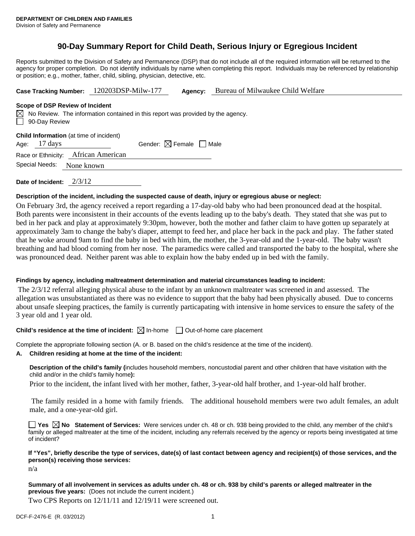# **90-Day Summary Report for Child Death, Serious Injury or Egregious Incident**

Reports submitted to the Division of Safety and Permanence (DSP) that do not include all of the required information will be returned to the agency for proper completion. Do not identify individuals by name when completing this report. Individuals may be referenced by relationship or position; e.g., mother, father, child, sibling, physician, detective, etc.

**Case Tracking Number:** 120203DSP-Milw-177 **Agency:** Bureau of Milwaukee Child Welfare

### **Scope of DSP Review of Incident**

 $\boxtimes$  No Review. The information contained in this report was provided by the agency. 90-Day Review

Age:  $17 \text{ days}$  Gender:  $\boxtimes$  Female  $\Box$  Male

Race or Ethnicity: African American

Special Needs: None known

**Date of Incident:** 2/3/12

## **Description of the incident, including the suspected cause of death, injury or egregious abuse or neglect:**

On February 3rd, the agency received a report regarding a 17-day-old baby who had been pronounced dead at the hospital. Both parents were inconsistent in their accounts of the events leading up to the baby's death. They stated that she was put to bed in her pack and play at approximately 9:30pm, however, both the mother and father claim to have gotten up separately at approximately 3am to change the baby's diaper, attempt to feed her, and place her back in the pack and play. The father stated that he woke around 9am to find the baby in bed with him, the mother, the 3-year-old and the 1-year-old. The baby wasn't breathing and had blood coming from her nose. The paramedics were called and transported the baby to the hospital, where she was pronounced dead. Neither parent was able to explain how the baby ended up in bed with the family.

## **Findings by agency, including maltreatment determination and material circumstances leading to incident:**

 The 2/3/12 referral alleging physical abuse to the infant by an unknown maltreater was screened in and assessed. The allegation was unsubstantiated as there was no evidence to support that the baby had been physically abused. Due to concerns about unsafe sleeping practices, the family is currently particapating with intensive in home services to ensure the safety of the 3 year old and 1 year old.

# **Child's residence at the time of incident:**  $\boxtimes$  In-home  $\Box$  Out-of-home care placement

Complete the appropriate following section (A. or B. based on the child's residence at the time of the incident).

## **A. Children residing at home at the time of the incident:**

**Description of the child's family (**includes household members, noncustodial parent and other children that have visitation with the child and/or in the child's family home**):** 

Prior to the incident, the infant lived with her mother, father, 3-year-old half brother, and 1-year-old half brother.

 The family resided in a home with family friends. The additional household members were two adult females, an adult male, and a one-year-old girl.

■ Yes **No** Statement of Services: Were services under ch. 48 or ch. 938 being provided to the child, any member of the child's family or alleged maltreater at the time of the incident, including any referrals received by the agency or reports being investigated at time of incident?

# **If "Yes", briefly describe the type of services, date(s) of last contact between agency and recipient(s) of those services, and the person(s) receiving those services:**

n/a

**Summary of all involvement in services as adults under ch. 48 or ch. 938 by child's parents or alleged maltreater in the previous five years:** (Does not include the current incident.)

Two CPS Reports on 12/11/11 and 12/19/11 were screened out.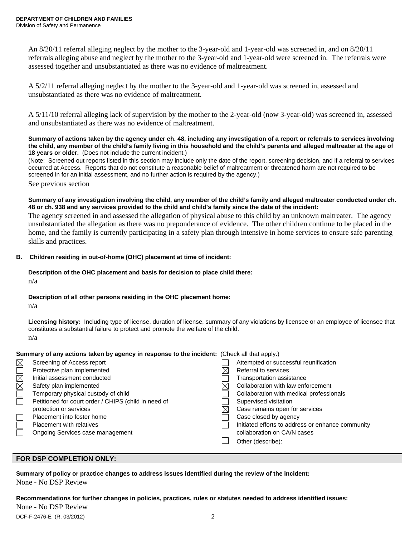An 8/20/11 referral alleging neglect by the mother to the 3-year-old and 1-year-old was screened in, and on 8/20/11 referrals alleging abuse and neglect by the mother to the 3-year-old and 1-year-old were screened in. The referrals were assessed together and unsubstantiated as there was no evidence of maltreatment.

A 5/2/11 referral alleging neglect by the mother to the 3-year-old and 1-year-old was screened in, assessed and unsubstantiated as there was no evidence of maltreatment.

A 5/11/10 referral alleging lack of supervision by the mother to the 2-year-old (now 3-year-old) was screened in, assessed and unsubstantiated as there was no evidence of maltreatment.

#### **Summary of actions taken by the agency under ch. 48, including any investigation of a report or referrals to services involving the child, any member of the child's family living in this household and the child's parents and alleged maltreater at the age of 18 years or older.** (Does not include the current incident.)

(Note: Screened out reports listed in this section may include only the date of the report, screening decision, and if a referral to services occurred at Access. Reports that do not constitute a reasonable belief of maltreatment or threatened harm are not required to be screened in for an initial assessment, and no further action is required by the agency.)

See previous section

### **Summary of any investigation involving the child, any member of the child's family and alleged maltreater conducted under ch. 48 or ch. 938 and any services provided to the child and child's family since the date of the incident:**

The agency screened in and assessed the allegation of physical abuse to this child by an unknown maltreater. The agency unsubstantiated the allegation as there was no preponderance of evidence. The other children continue to be placed in the home, and the family is currently participating in a safety plan through intensive in home services to ensure safe parenting skills and practices.

# **B. Children residing in out-of-home (OHC) placement at time of incident:**

## **Description of the OHC placement and basis for decision to place child there:**

n/a

# **Description of all other persons residing in the OHC placement home:**

n/a

**Licensing history:** Including type of license, duration of license, summary of any violations by licensee or an employee of licensee that constitutes a substantial failure to protect and promote the welfare of the child. n/a

**Summary of any actions taken by agency in response to the incident:** (Check all that apply.)

| $\boxtimes$            | Screening of Access report                           | Attempted or successful reunification             |
|------------------------|------------------------------------------------------|---------------------------------------------------|
|                        | Protective plan implemented                          | Referral to services                              |
| $\overline{\boxtimes}$ | Initial assessment conducted                         | <b>Transportation assistance</b>                  |
| $\overline{\boxtimes}$ | Safety plan implemented                              | Collaboration with law enforcement                |
|                        | Temporary physical custody of child                  | Collaboration with medical professionals          |
| $\Box$                 | Petitioned for court order / CHIPS (child in need of | Supervised visitation                             |
|                        | protection or services                               | Case remains open for services                    |
|                        | Placement into foster home                           | Case closed by agency                             |
|                        | Placement with relatives                             | Initiated efforts to address or enhance community |
|                        | Ongoing Services case management                     | collaboration on CA/N cases                       |
|                        |                                                      | Other (describe):                                 |

# **FOR DSP COMPLETION ONLY:**

**Summary of policy or practice changes to address issues identified during the review of the incident:**  None - No DSP Review

**Recommendations for further changes in policies, practices, rules or statutes needed to address identified issues:** 

DCF-F-2476-E (R. 03/2012) 2 None - No DSP Review